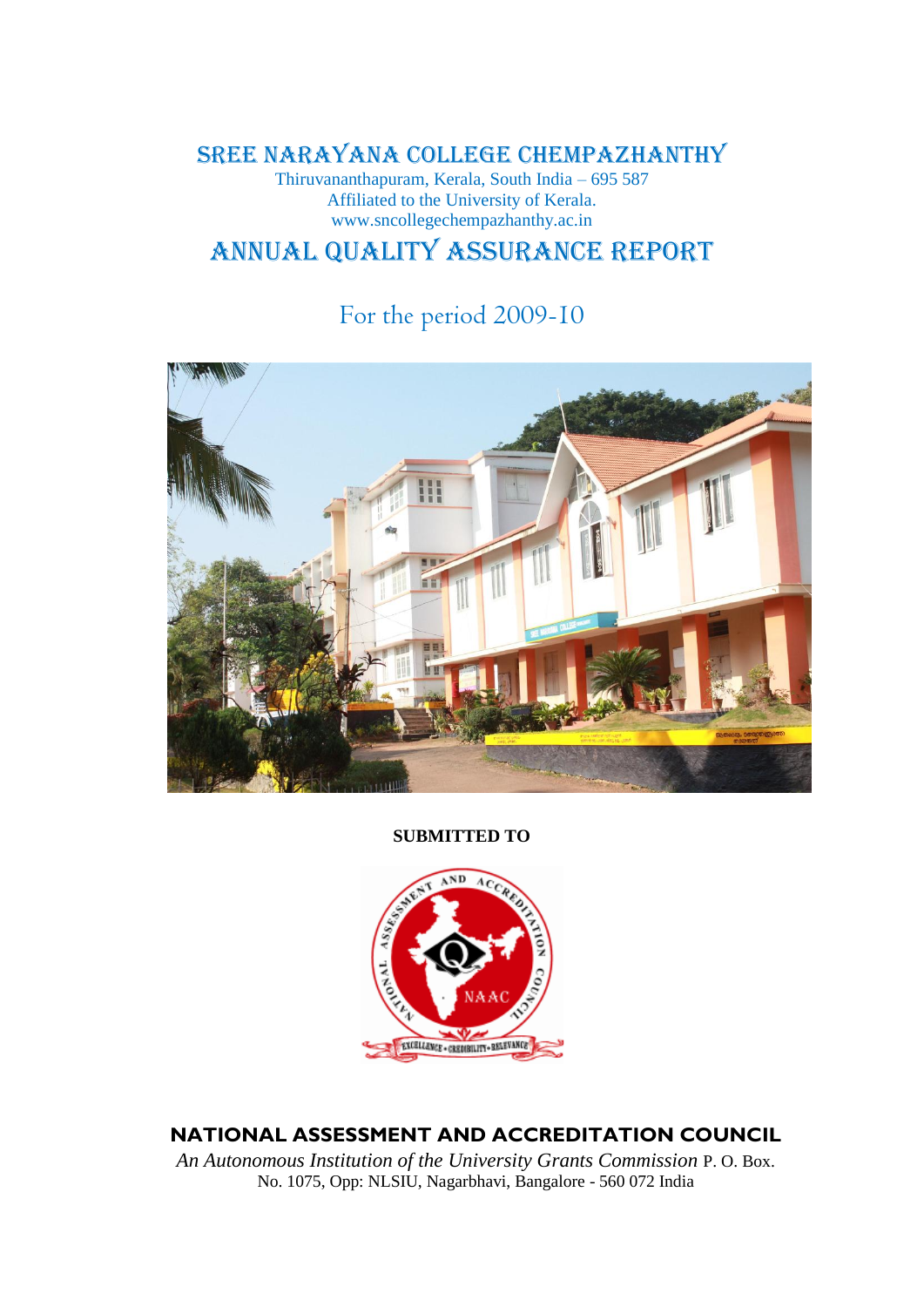SREE NARAYANA COLLEGE CHEMPAZHANTHY

Thiruvananthapuram, Kerala, South India – 695 587 Affiliated to the University of Kerala. www.sncollegechempazhanthy.ac.in

# Annual Quality Assurance Report

# For the period 2009-10



**SUBMITTED TO**



**NATIONAL ASSESSMENT AND ACCREDITATION COUNCIL** 

*An Autonomous Institution of the University Grants Commission* P. O. Box. No. 1075, Opp: NLSIU, Nagarbhavi, Bangalore - 560 072 India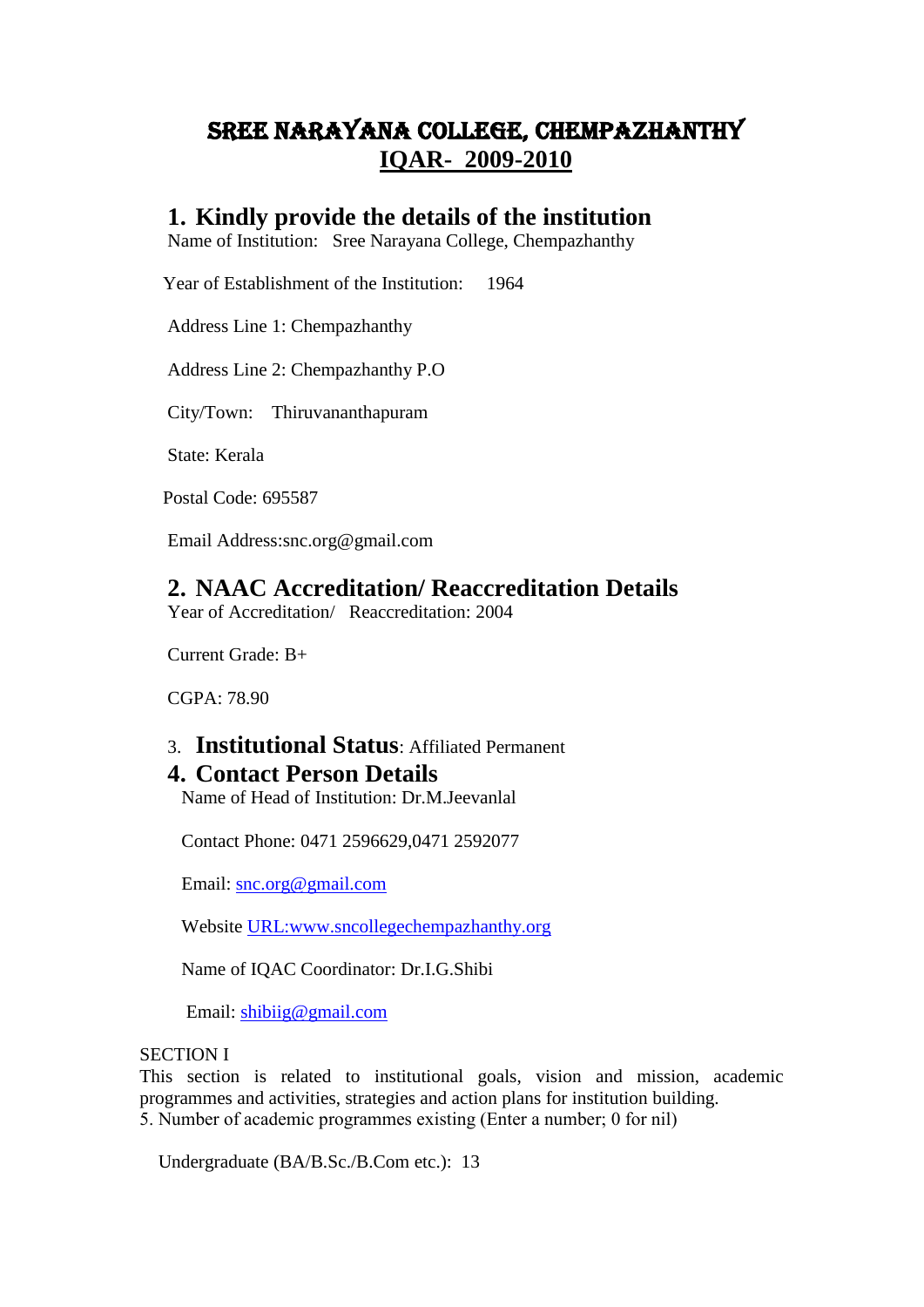# SREE NARAYANA COLLEGE, CHEMPAZHANTHY **IQAR- 2009-2010**

## **1. Kindly provide the details of the institution**

Name of Institution: Sree Narayana College, Chempazhanthy

Year of Establishment of the Institution: 1964

Address Line 1: Chempazhanthy

Address Line 2: Chempazhanthy P.O

City/Town: Thiruvananthapuram

State: Kerala

Postal Code: 695587

Email Address:snc.org@gmail.com

## **2. NAAC Accreditation/ Reaccreditation Details**

Year of Accreditation/ Reaccreditation: 2004

Current Grade: B+

CGPA: 78.90

## 3. **Institutional Status**: Affiliated Permanent **4. Contact Person Details**

Name of Head of Institution: Dr.M.Jeevanlal

Contact Phone: 0471 2596629,0471 2592077

Email: [snc.org@gmail.com](mailto:snc.org@gmail.com)

Website [URL:www.sncollegechempazhanthy.org](www.sncollegechempazhanthy.org)

Name of IQAC Coordinator: Dr.I.G.Shibi

Email: [shibiig@gmail.com](mailto:shibiig@gmail.com)

#### SECTION I

This section is related to institutional goals, vision and mission, academic programmes and activities, strategies and action plans for institution building. 5. Number of academic programmes existing (Enter a number; 0 for nil)

Undergraduate (BA/B.Sc./B.Com etc.): 13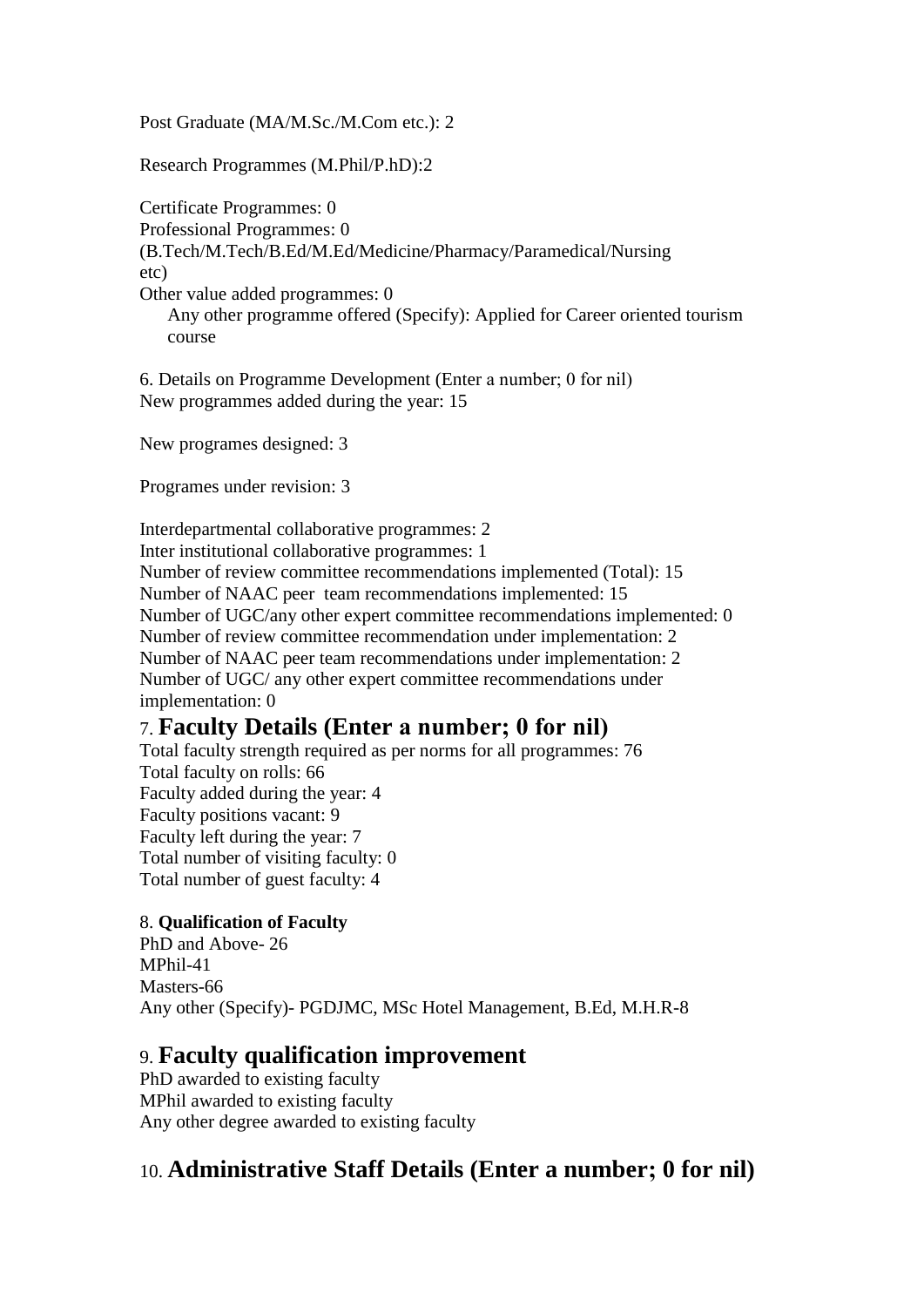Post Graduate (MA/M.Sc./M.Com etc.): 2

Research Programmes (M.Phil/P.hD):2

Certificate Programmes: 0 Professional Programmes: 0 (B.Tech/M.Tech/B.Ed/M.Ed/Medicine/Pharmacy/Paramedical/Nursing etc) Other value added programmes: 0 Any other programme offered (Specify): Applied for Career oriented tourism course

6. Details on Programme Development (Enter a number; 0 for nil) New programmes added during the year: 15

New programes designed: 3

Programes under revision: 3

Interdepartmental collaborative programmes: 2 Inter institutional collaborative programmes: 1 Number of review committee recommendations implemented (Total): 15 Number of NAAC peer team recommendations implemented: 15 Number of UGC/any other expert committee recommendations implemented: 0 Number of review committee recommendation under implementation: 2 Number of NAAC peer team recommendations under implementation: 2 Number of UGC/ any other expert committee recommendations under implementation: 0

## 7. **Faculty Details (Enter a number; 0 for nil)**

Total faculty strength required as per norms for all programmes: 76 Total faculty on rolls: 66 Faculty added during the year: 4 Faculty positions vacant: 9 Faculty left during the year: 7 Total number of visiting faculty: 0 Total number of guest faculty: 4

### 8. **Qualification of Faculty**

PhD and Above- 26 MPhil-41 Masters-66 Any other (Specify)- PGDJMC, MSc Hotel Management, B.Ed, M.H.R-8

## 9. **Faculty qualification improvement**

PhD awarded to existing faculty MPhil awarded to existing faculty Any other degree awarded to existing faculty

## 10. **Administrative Staff Details (Enter a number; 0 for nil)**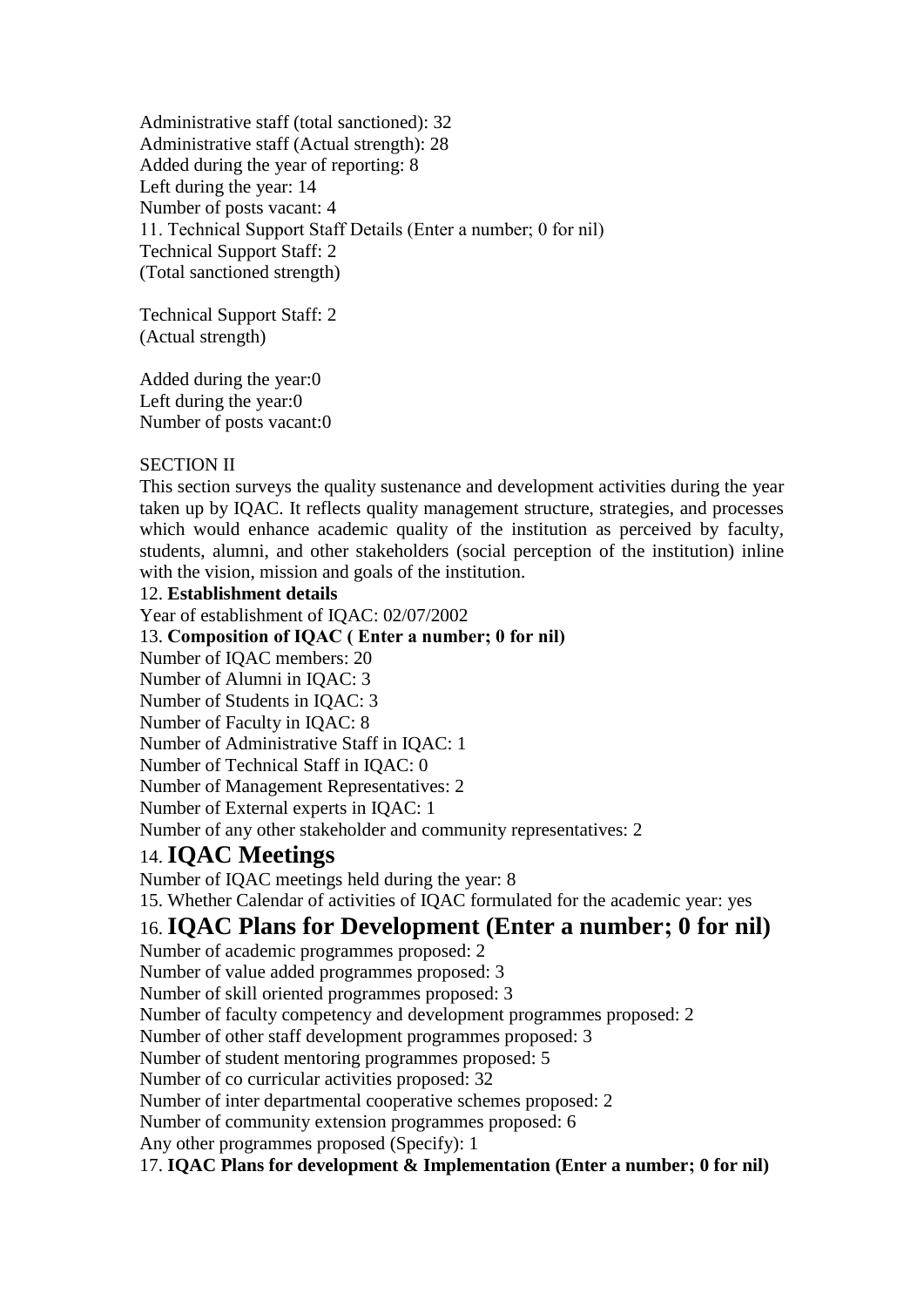Administrative staff (total sanctioned): 32 Administrative staff (Actual strength): 28 Added during the year of reporting: 8 Left during the year: 14 Number of posts vacant: 4 11. Technical Support Staff Details (Enter a number; 0 for nil) Technical Support Staff: 2 (Total sanctioned strength)

Technical Support Staff: 2 (Actual strength)

Added during the year:0 Left during the year:0 Number of posts vacant:0

### SECTION II

This section surveys the quality sustenance and development activities during the year taken up by IQAC. It reflects quality management structure, strategies, and processes which would enhance academic quality of the institution as perceived by faculty, students, alumni, and other stakeholders (social perception of the institution) inline with the vision, mission and goals of the institution.

#### 12. **Establishment details**

Year of establishment of IQAC: 02/07/2002 13. **Composition of IQAC ( Enter a number; 0 for nil)** Number of IQAC members: 20 Number of Alumni in IQAC: 3 Number of Students in IQAC: 3 Number of Faculty in IQAC: 8 Number of Administrative Staff in IQAC: 1 Number of Technical Staff in IQAC: 0 Number of Management Representatives: 2 Number of External experts in IQAC: 1 Number of any other stakeholder and community representatives: 2

## 14. **IQAC Meetings**

Number of IQAC meetings held during the year: 8 15. Whether Calendar of activities of IQAC formulated for the academic year: yes

## 16. **IQAC Plans for Development (Enter a number; 0 for nil)**

Number of academic programmes proposed: 2 Number of value added programmes proposed: 3 Number of skill oriented programmes proposed: 3 Number of faculty competency and development programmes proposed: 2 Number of other staff development programmes proposed: 3 Number of student mentoring programmes proposed: 5 Number of co curricular activities proposed: 32 Number of inter departmental cooperative schemes proposed: 2 Number of community extension programmes proposed: 6 Any other programmes proposed (Specify): 1 17. **IQAC Plans for development & Implementation (Enter a number; 0 for nil)**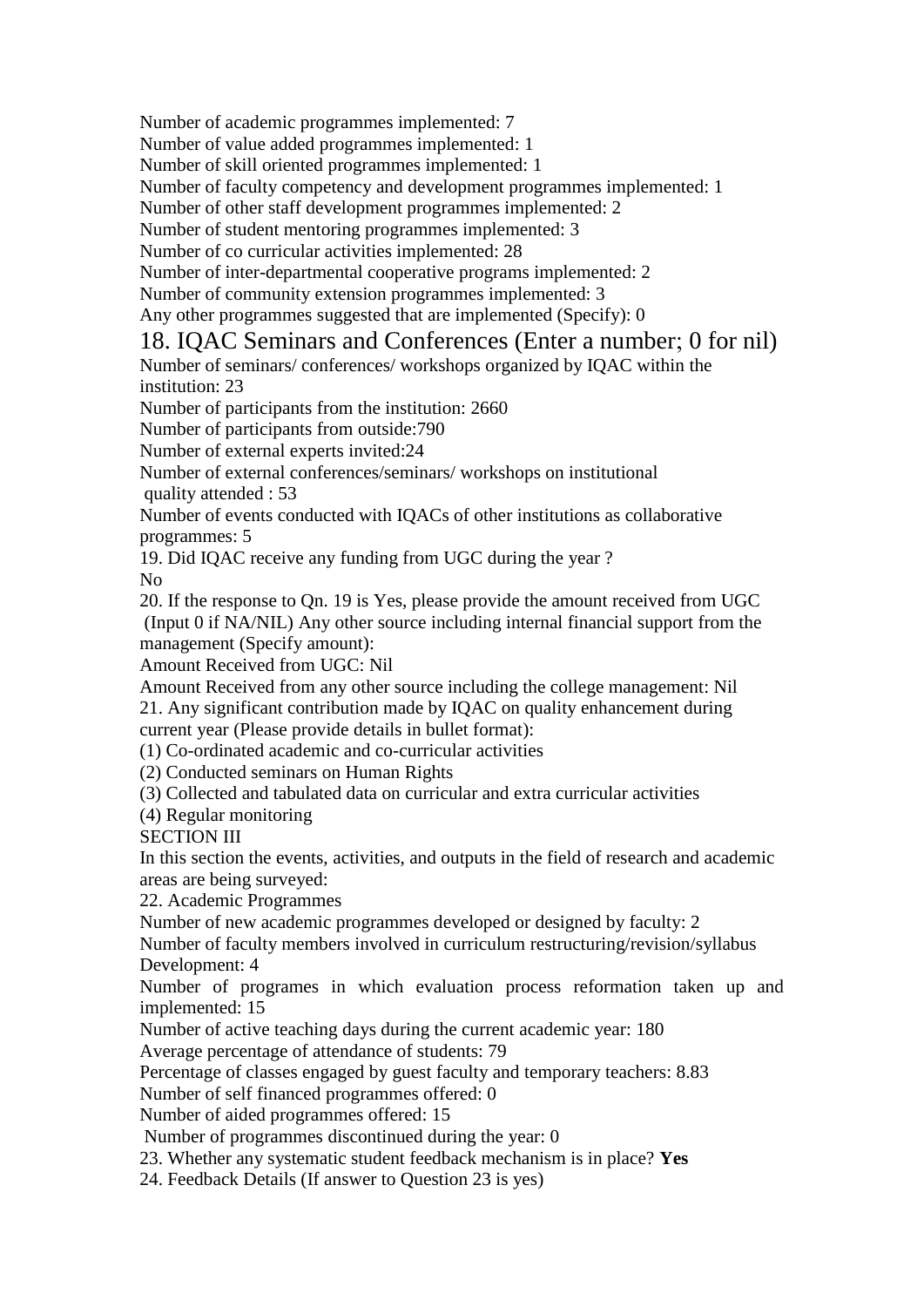Number of academic programmes implemented: 7

Number of value added programmes implemented: 1

Number of skill oriented programmes implemented: 1

Number of faculty competency and development programmes implemented: 1

Number of other staff development programmes implemented: 2

Number of student mentoring programmes implemented: 3

Number of co curricular activities implemented: 28

Number of inter-departmental cooperative programs implemented: 2

Number of community extension programmes implemented: 3

Any other programmes suggested that are implemented (Specify): 0

## 18. IQAC Seminars and Conferences (Enter a number; 0 for nil)

Number of seminars/ conferences/ workshops organized by IQAC within the institution: 23

Number of participants from the institution: 2660

Number of participants from outside:790

Number of external experts invited:24

Number of external conferences/seminars/ workshops on institutional quality attended : 53

Number of events conducted with IQACs of other institutions as collaborative programmes: 5

19. Did IQAC receive any funding from UGC during the year ?

No

20. If the response to Qn. 19 is Yes, please provide the amount received from UGC (Input 0 if NA/NIL) Any other source including internal financial support from the management (Specify amount):

Amount Received from UGC: Nil

Amount Received from any other source including the college management: Nil 21. Any significant contribution made by IQAC on quality enhancement during current year (Please provide details in bullet format):

(1) Co-ordinated academic and co-curricular activities

(2) Conducted seminars on Human Rights

(3) Collected and tabulated data on curricular and extra curricular activities

(4) Regular monitoring

SECTION III

In this section the events, activities, and outputs in the field of research and academic areas are being surveyed:

22. Academic Programmes

Number of new academic programmes developed or designed by faculty: 2

Number of faculty members involved in curriculum restructuring/revision/syllabus Development: 4

Number of programes in which evaluation process reformation taken up and implemented: 15

Number of active teaching days during the current academic year: 180

Average percentage of attendance of students: 79

Percentage of classes engaged by guest faculty and temporary teachers: 8.83

Number of self financed programmes offered: 0

Number of aided programmes offered: 15

Number of programmes discontinued during the year: 0

23. Whether any systematic student feedback mechanism is in place? **Yes**

24. Feedback Details (If answer to Question 23 is yes)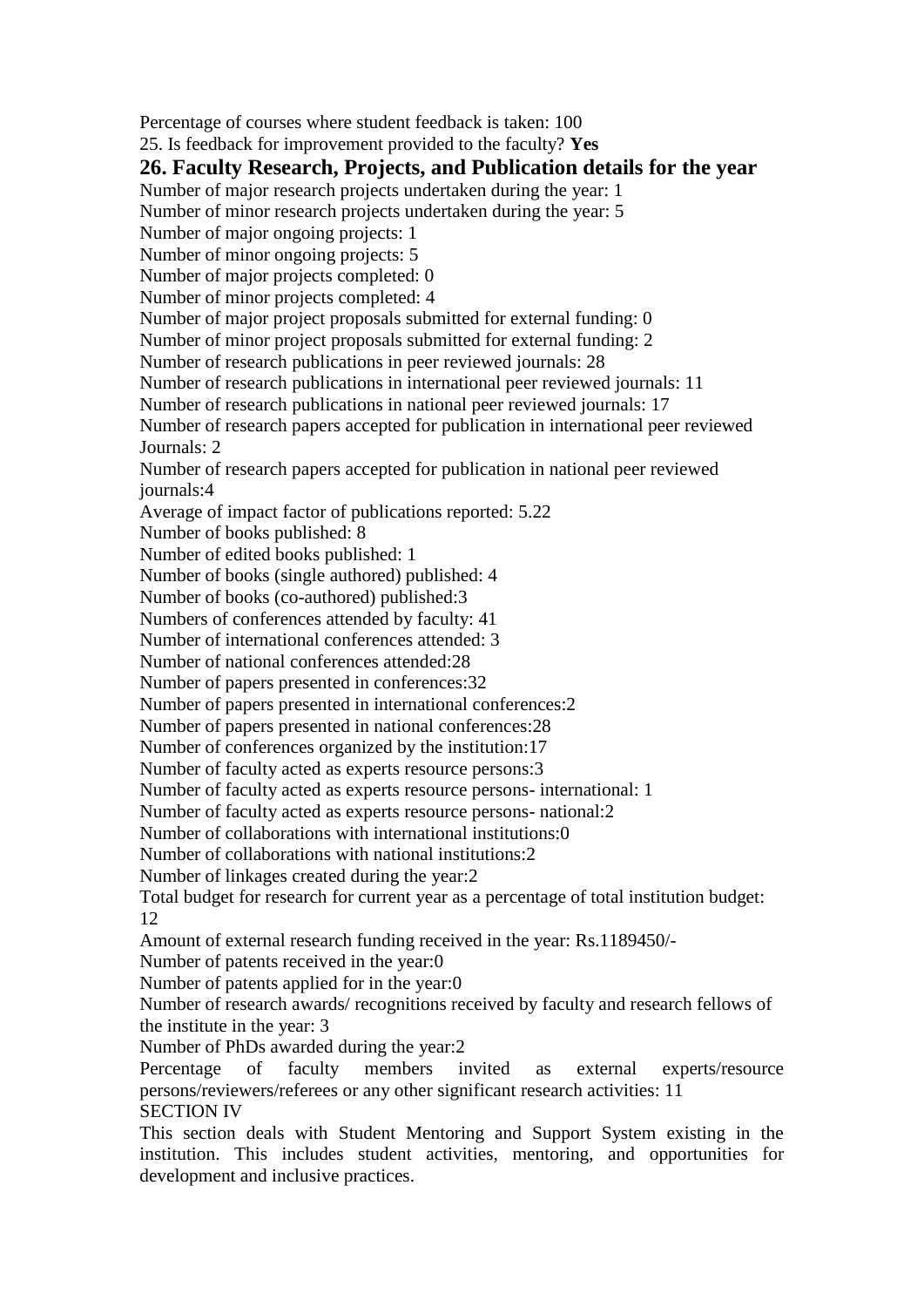Percentage of courses where student feedback is taken: 100 25. Is feedback for improvement provided to the faculty? **Yes 26. Faculty Research, Projects, and Publication details for the year** Number of major research projects undertaken during the year: 1 Number of minor research projects undertaken during the year: 5 Number of major ongoing projects: 1 Number of minor ongoing projects: 5 Number of major projects completed: 0 Number of minor projects completed: 4 Number of major project proposals submitted for external funding: 0 Number of minor project proposals submitted for external funding: 2 Number of research publications in peer reviewed journals: 28 Number of research publications in international peer reviewed journals: 11 Number of research publications in national peer reviewed journals: 17 Number of research papers accepted for publication in international peer reviewed Journals: 2 Number of research papers accepted for publication in national peer reviewed journals:4 Average of impact factor of publications reported: 5.22 Number of books published: 8 Number of edited books published: 1 Number of books (single authored) published: 4 Number of books (co-authored) published:3 Numbers of conferences attended by faculty: 41 Number of international conferences attended: 3 Number of national conferences attended:28 Number of papers presented in conferences:32 Number of papers presented in international conferences:2 Number of papers presented in national conferences:28 Number of conferences organized by the institution:17 Number of faculty acted as experts resource persons:3 Number of faculty acted as experts resource persons- international: 1 Number of faculty acted as experts resource persons- national:2 Number of collaborations with international institutions:0 Number of collaborations with national institutions:2 Number of linkages created during the year:2 Total budget for research for current year as a percentage of total institution budget: 12 Amount of external research funding received in the year: Rs.1189450/- Number of patents received in the year:0 Number of patents applied for in the year:0 Number of research awards/ recognitions received by faculty and research fellows of the institute in the year: 3 Number of PhDs awarded during the year:2 Percentage of faculty members invited as external experts/resource persons/reviewers/referees or any other significant research activities: 11 SECTION IV This section deals with Student Mentoring and Support System existing in the institution. This includes student activities, mentoring, and opportunities for development and inclusive practices.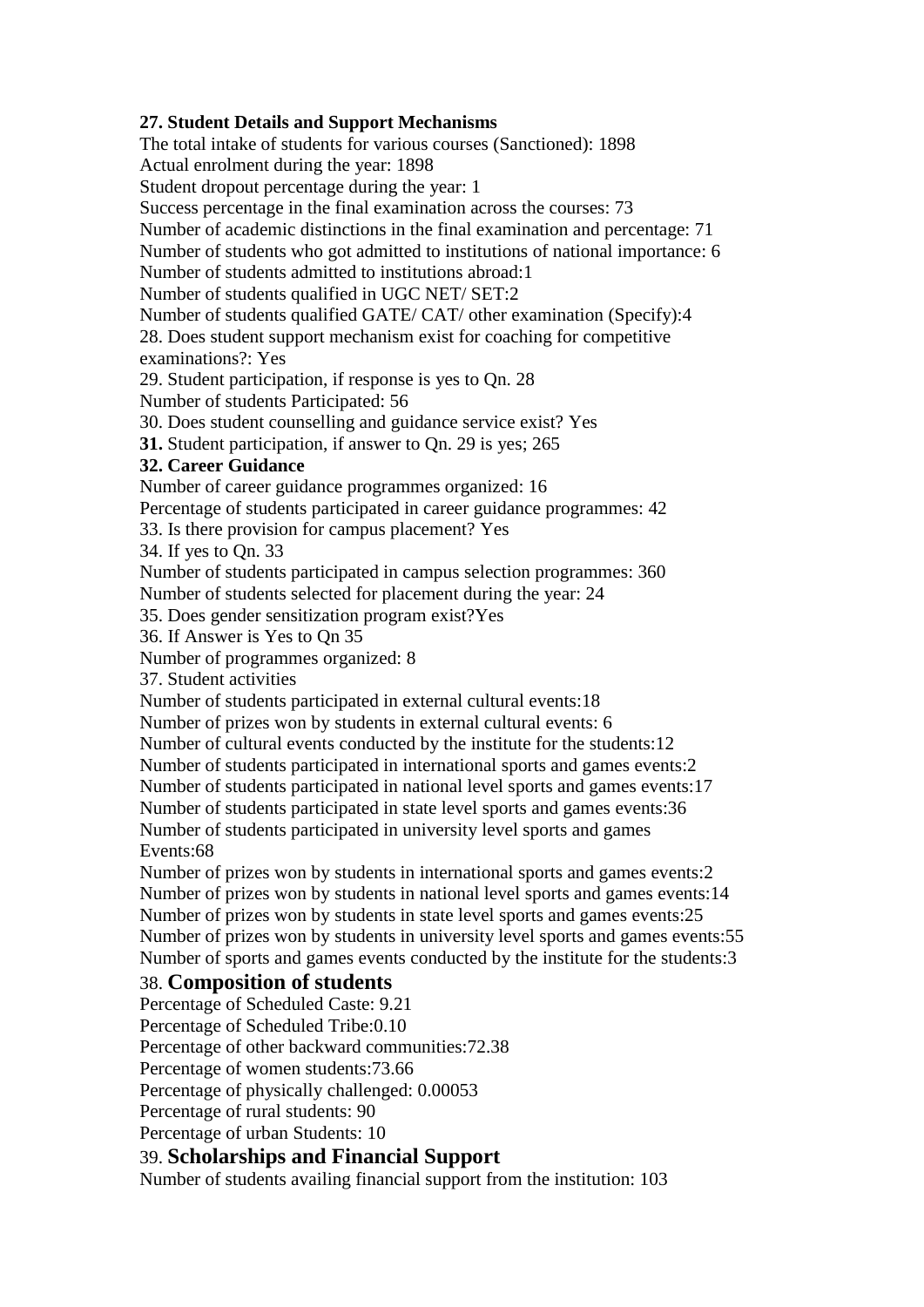### **27. Student Details and Support Mechanisms**

The total intake of students for various courses (Sanctioned): 1898 Actual enrolment during the year: 1898 Student dropout percentage during the year: 1 Success percentage in the final examination across the courses: 73 Number of academic distinctions in the final examination and percentage: 71 Number of students who got admitted to institutions of national importance: 6 Number of students admitted to institutions abroad:1 Number of students qualified in UGC NET/ SET:2 Number of students qualified GATE/ CAT/ other examination (Specify):4 28. Does student support mechanism exist for coaching for competitive examinations?: Yes 29. Student participation, if response is yes to Qn. 28 Number of students Participated: 56 30. Does student counselling and guidance service exist? Yes **31.** Student participation, if answer to Qn. 29 is yes; 265 **32. Career Guidance** Number of career guidance programmes organized: 16 Percentage of students participated in career guidance programmes: 42 33. Is there provision for campus placement? Yes 34. If yes to Qn. 33 Number of students participated in campus selection programmes: 360 Number of students selected for placement during the year: 24 35. Does gender sensitization program exist?Yes 36. If Answer is Yes to Qn 35 Number of programmes organized: 8 37. Student activities Number of students participated in external cultural events:18 Number of prizes won by students in external cultural events: 6 Number of cultural events conducted by the institute for the students:12 Number of students participated in international sports and games events:2 Number of students participated in national level sports and games events:17 Number of students participated in state level sports and games events:36 Number of students participated in university level sports and games Events:68 Number of prizes won by students in international sports and games events:2

Number of prizes won by students in national level sports and games events:14 Number of prizes won by students in state level sports and games events:25 Number of prizes won by students in university level sports and games events:55 Number of sports and games events conducted by the institute for the students:3

### 38. **Composition of students**

Percentage of Scheduled Caste: 9.21 Percentage of Scheduled Tribe:0.10 Percentage of other backward communities:72.38 Percentage of women students:73.66 Percentage of physically challenged: 0.00053 Percentage of rural students: 90 Percentage of urban Students: 10 39. **Scholarships and Financial Support**

Number of students availing financial support from the institution: 103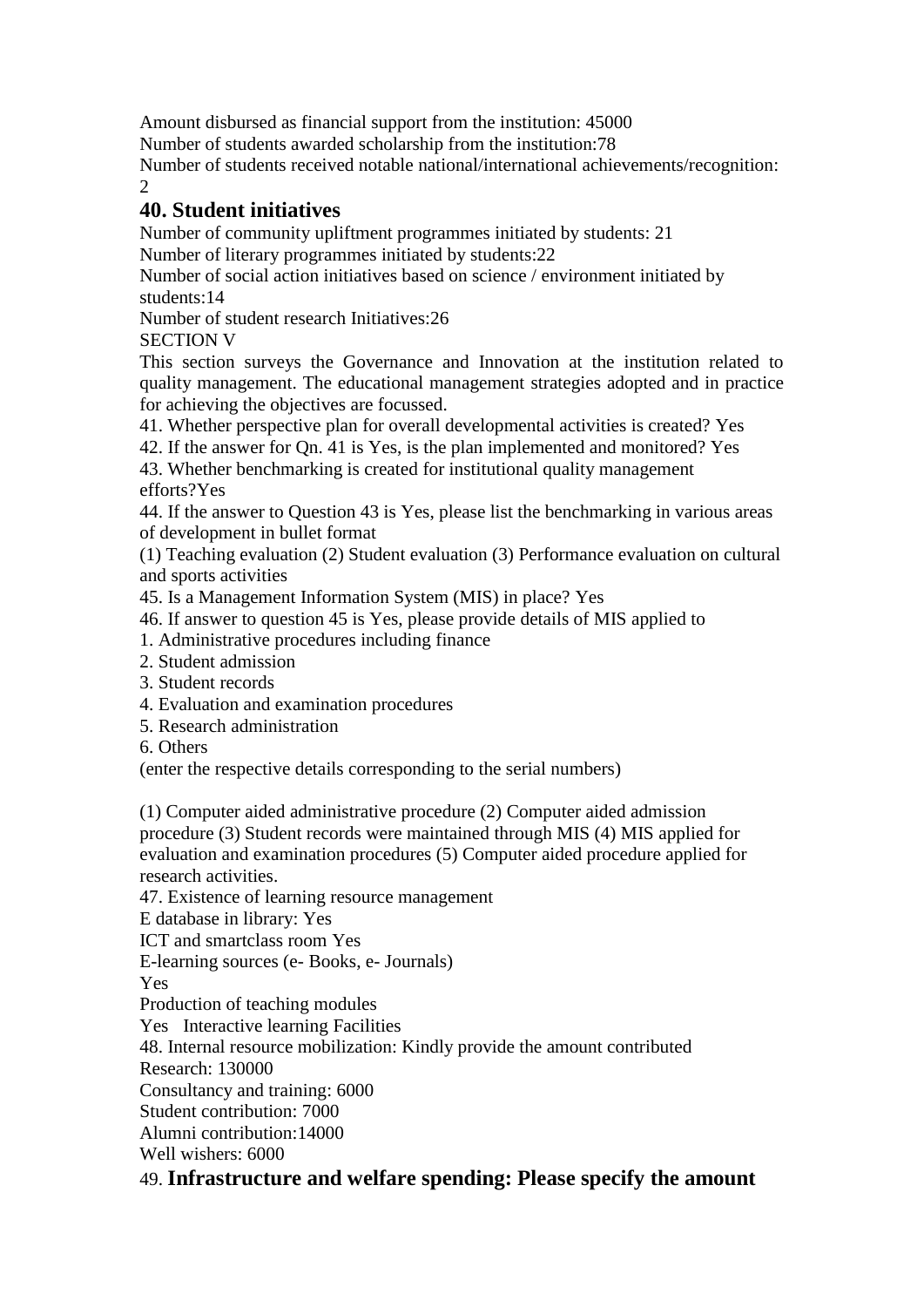Amount disbursed as financial support from the institution: 45000

Number of students awarded scholarship from the institution:78

Number of students received notable national/international achievements/recognition:  $\mathcal{D}$ 

## **40. Student initiatives**

Number of community upliftment programmes initiated by students: 21

Number of literary programmes initiated by students:22

Number of social action initiatives based on science / environment initiated by students:14

Number of student research Initiatives:26

SECTION V

This section surveys the Governance and Innovation at the institution related to quality management. The educational management strategies adopted and in practice for achieving the objectives are focussed.

41. Whether perspective plan for overall developmental activities is created? Yes

42. If the answer for Qn. 41 is Yes, is the plan implemented and monitored? Yes

43. Whether benchmarking is created for institutional quality management efforts?Yes

44. If the answer to Question 43 is Yes, please list the benchmarking in various areas of development in bullet format

(1) Teaching evaluation (2) Student evaluation (3) Performance evaluation on cultural and sports activities

45. Is a Management Information System (MIS) in place? Yes

46. If answer to question 45 is Yes, please provide details of MIS applied to

- 1. Administrative procedures including finance
- 2. Student admission
- 3. Student records
- 4. Evaluation and examination procedures
- 5. Research administration
- 6. Others

(enter the respective details corresponding to the serial numbers)

(1) Computer aided administrative procedure (2) Computer aided admission procedure (3) Student records were maintained through MIS (4) MIS applied for evaluation and examination procedures (5) Computer aided procedure applied for research activities.

47. Existence of learning resource management

E database in library: Yes : Yes

ICT and smartclass room Yes

E-learning sources (e- Books, e- Journals)

**Yes** 

Production of teaching modules

Yes Interactive learning Facilities

48. Internal resource mobilization: Kindly provide the amount contributed

Research: 130000

Consultancy and training: 6000

Student contribution: 7000

Alumni contribution:14000

Well wishers: 6000

## 49. **Infrastructure and welfare spending: Please specify the amount**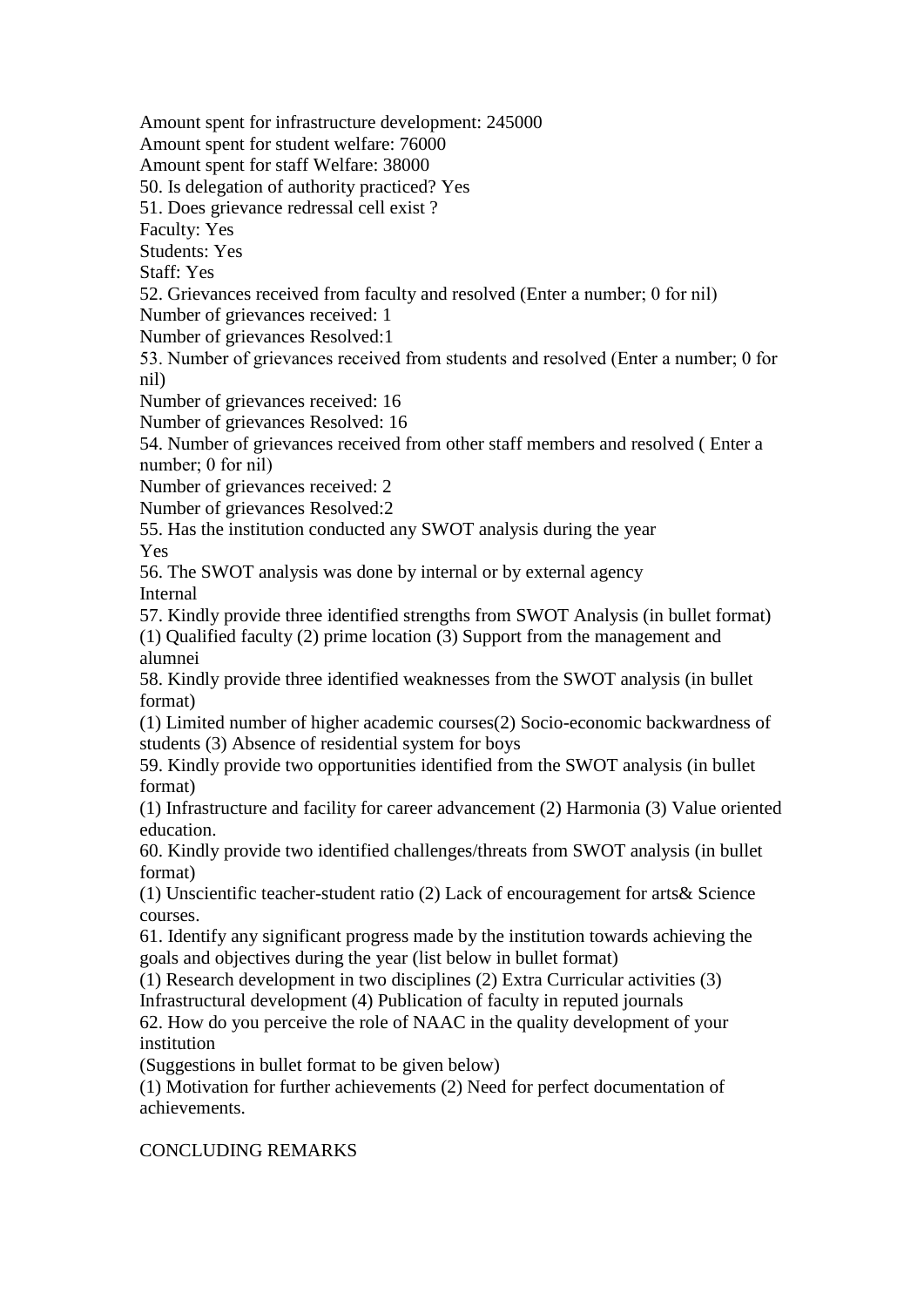Amount spent for infrastructure development: 245000 Amount spent for student welfare: 76000 Amount spent for staff Welfare: 38000 50. Is delegation of authority practiced? Yes 51. Does grievance redressal cell exist ? Faculty: Yes Students: Yes Staff: Yes 52. Grievances received from faculty and resolved (Enter a number; 0 for nil) Number of grievances received: 1 Number of grievances Resolved:1 53. Number of grievances received from students and resolved (Enter a number; 0 for nil) Number of grievances received: 16 Number of grievances Resolved: 16 54. Number of grievances received from other staff members and resolved ( Enter a number; 0 for nil) Number of grievances received: 2 Number of grievances Resolved:2 55. Has the institution conducted any SWOT analysis during the year Yes 56. The SWOT analysis was done by internal or by external agency Internal 57. Kindly provide three identified strengths from SWOT Analysis (in bullet format) (1) Qualified faculty (2) prime location (3) Support from the management and alumnei 58. Kindly provide three identified weaknesses from the SWOT analysis (in bullet format) (1) Limited number of higher academic courses(2) Socio-economic backwardness of students (3) Absence of residential system for boys 59. Kindly provide two opportunities identified from the SWOT analysis (in bullet format) (1) Infrastructure and facility for career advancement (2) Harmonia (3) Value oriented education. 60. Kindly provide two identified challenges/threats from SWOT analysis (in bullet format) (1) Unscientific teacher-student ratio (2) Lack of encouragement for arts& Science courses. 61. Identify any significant progress made by the institution towards achieving the goals and objectives during the year (list below in bullet format) (1) Research development in two disciplines (2) Extra Curricular activities (3) Infrastructural development (4) Publication of faculty in reputed journals 62. How do you perceive the role of NAAC in the quality development of your institution (Suggestions in bullet format to be given below) (1) Motivation for further achievements (2) Need for perfect documentation of achievements. CONCLUDING REMARKS